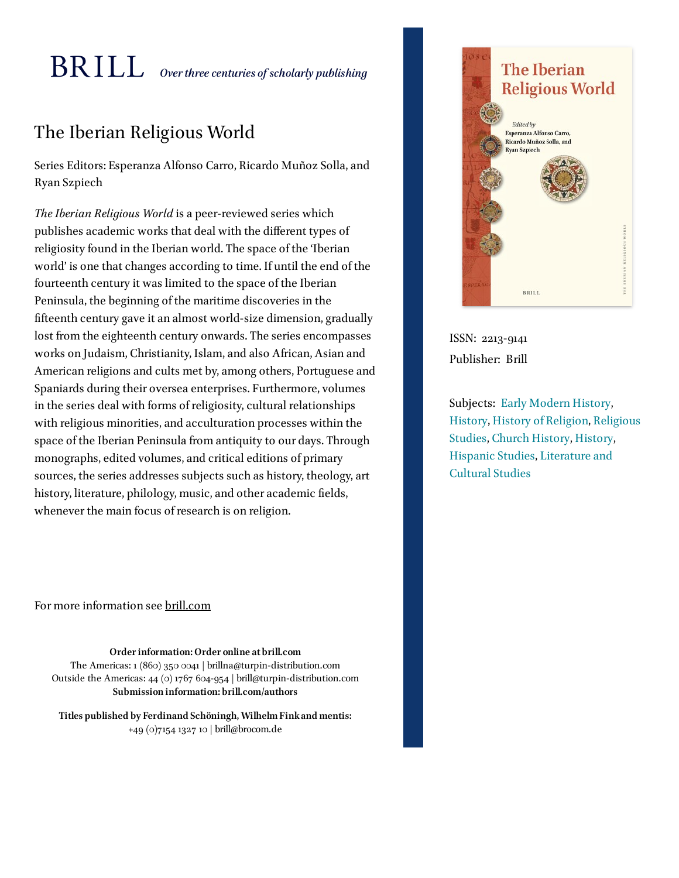# $\operatorname{BRILL}$  over three centuries of scholarly publishing

# The Iberian Religious World

Series Editors: Esperanza Alfonso Carro, Ricardo Muñoz Solla, and Ryan Szpiech

*The Iberian Religious World* is a peer-reviewed series which publishes academic works that deal with the diferent types of religiosity found in the Iberian world. The space of the 'Iberian world' is one that changes according to time. If until the end of the fourteenth century it was limited to the space of the Iberian Peninsula, the beginning of the maritime discoveries in the fteenth century gave it an almost world-size dimension, gradually lost from the eighteenth century onwards. The series encompasses works on Judaism, Christianity, Islam, and also African, Asian and American religions and cults met by, among others, Portuguese and Spaniards during their oversea enterprises. Furthermore, volumes in the series deal with forms of religiosity, cultural relationships with religious minorities, and acculturation processes within the space of the Iberian Peninsula from antiquity to our days. Through monographs, edited volumes, and critical editions of primary sources, the series addresses subjects such as history, theology, art history, literature, philology, music, and other academic fields, whenever the main focus of research is on religion.

**The Iberian Religious World Edited by** Esperanza Alfonso Carro, Ricardo Muñoz Solla, and **Ryan Szpiech BRILL** 

ISSN: 2213-9141 Publisher: Brill

Subjects: Early [Modern](https://brill.com/search?t0=08-03) History, [History,](https://brill.com/search?t0=HHIS) History of [Religion,](https://brill.com/search?t0=05-07) [Religious](https://brill.com/search?t0=HREL) Studies, Church [History](https://brill.com/search?t0=08-10), [History](https://brill.com/search?t0=HHIS), [Hispanic](https://brill.com/search?t0=19-10) Studies, [Literature](https://brill.com/search?t0=HLC) and Cultural Studies

For more information see [brill.com](https://brill.com/)

**Order information: Order online at brill.com** The Americas: 1 (860) 350 0041 | brillna@turpin-distribution.com Outside the Americas: 44 (0) 1767 604-954 | brill@turpin-distribution.com **Submission information: brill.com/authors**

**Titles published by Ferdinand Schöningh, WilhelmFinkand mentis:** +49 (0)7154 1327 10 | brill@brocom.de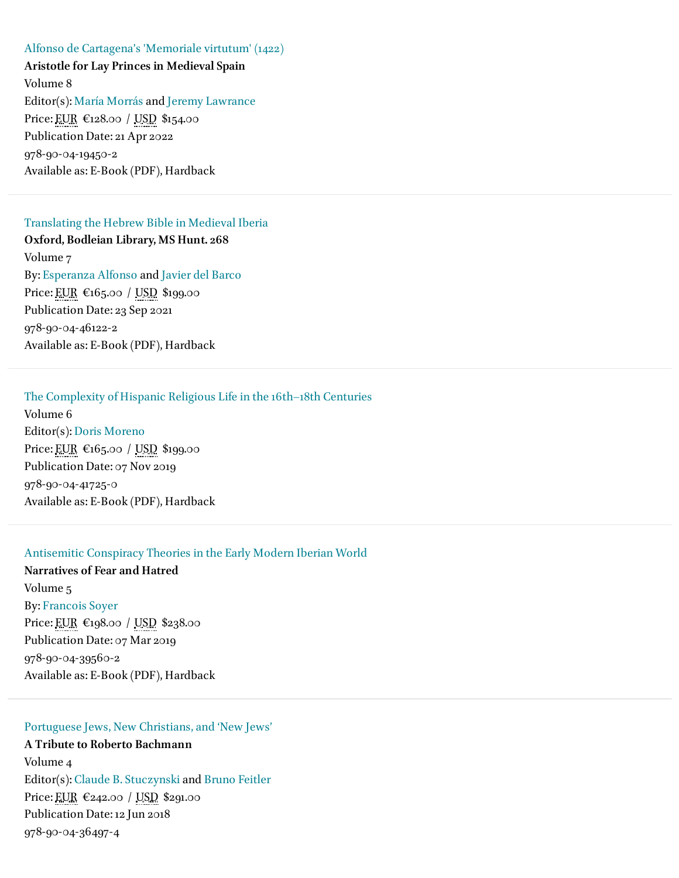Alfonso de [Cartagena's](https://brill.com/view/title/55913) 'Memoriale virtutum' (1422) **Aristotle for Lay Princes in Medieval Spain** Volume 8 Editor(s): María [Morrás](https://brill.com/search?f_0=author&q_0=Mar%C3%ADa+Morr%C3%A1s) and Jeremy [Lawrance](https://brill.com/search?f_0=author&q_0=Jeremy+Lawrance) Price: EUR €128.00 / USD \$154.00 Publication Date: 21 Apr 2022 978-90-04-19450-2 Available as: E-Book (PDF), Hardback

### [Translating](https://brill.com/view/title/58634) the Hebrew Bible in Medieval Iberia

**Oxford, Bodleian Library, MS Hunt. 268** Volume 7 By: [Esperanza](https://brill.com/search?f_0=author&q_0=Esperanza+Alfonso) Alfonso and Javier del [Barco](https://brill.com/search?f_0=author&q_0=Javier+del+Barco) Price: EUR €165.00 / USD \$199.00 Publication Date: 23 Sep 2021 978-90-04-46122-2 Available as: E-Book (PDF), Hardback

# The [Complexity](https://brill.com/view/title/35173) of Hispanic Religious Life in the 16th–18th Centuries

Volume 6 Editor(s): Doris [Moreno](https://brill.com/search?f_0=author&q_0=Doris+Moreno) Price: EUR €165.00 / USD \$199.00 Publication Date: 07 Nov 2019 978-90-04-41725-0 Available as: E-Book (PDF), Hardback

#### [Antisemitic](https://brill.com/view/title/54559) Conspiracy Theories in the Early Modern Iberian World

**Narratives of Fear and Hatred** Volume 5 By: [Francois](https://brill.com/search?f_0=author&q_0=Francois+Soyer) Soyer Price: EUR €198.00 / USD \$238.00 Publication Date: 07 Mar 2019 978-90-04-39560-2 Available as: E-Book (PDF), Hardback

## [Portuguese](https://brill.com/view/title/36390) Jews, New Christians, and 'New Jews'

**A Tribute to Roberto Bachmann** Volume 4 Editor(s): Claude B. [Stuczynski](https://brill.com/search?f_0=author&q_0=Claude+B.+Stuczynski) and Bruno [Feitler](https://brill.com/search?f_0=author&q_0=Bruno+Feitler) Price: EUR €242.00 / USD \$291.00 Publication Date: 12 Jun 2018 978-90-04-36497-4